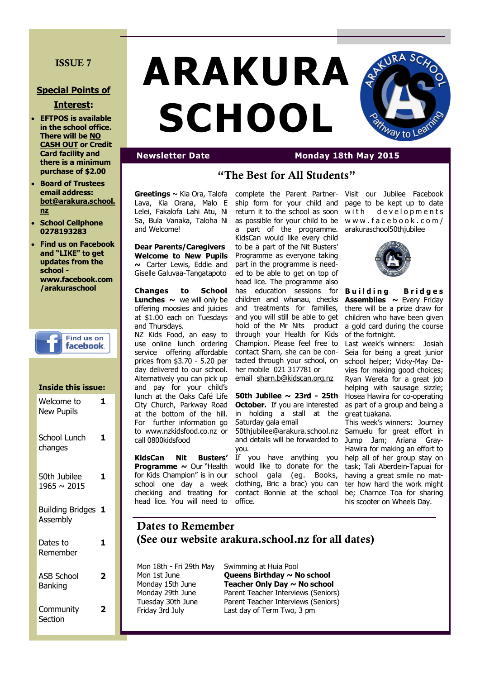#### **ISSUE 7**

#### **Special Points of**

#### **Interest:**

- **EFTPOS is available in the school office. There will be NO CASH OUT or Credit Card facility and there is a minimum purchase of \$2.00**
- **Board of Trustees email address: bot@arakura.school. nz**
- **School Cellphone 0278193283**
- **Find us on Facebook and "LIKE" to get updates from the school www.facebook.com /arakuraschool**

### **Find us on** facebook.

**Inside this issue:**

### Welcome to New Pupils **1** School Lunch changes **1** 50th Jubilee 1965 ~ 2015 **1**

| Building Bridges 1<br>Assembly |  |
|--------------------------------|--|
| Dates to<br>Remember           |  |
| ASB School<br><b>Banking</b>   |  |

**2**

**Community** Section

# **ARAKURA SCHOOL**



### **Newsletter Date Monday 18th May 2015**

# **"The Best for All Students"**

**Greetings** ~ Kia Ora, Talofa Lava, Kia Orana, Malo E Lelei, Fakalofa Lahi Atu, Ni Sa, Bula Vanaka, Taloha Ni and Welcome!

**Dear Parents/Caregivers Welcome to New Pupils ~** Carter Lewis, Eddie and Giselle Galuvaa-Tangatapoto

**Changes to School Lunches**  $\sim$  we will only be offering moosies and juicies at \$1.00 each on Tuesdays and Thursdays.

NZ Kids Food, an easy to use online lunch ordering service offering affordable prices from \$3.70 - 5.20 per day delivered to our school. Alternatively you can pick up and pay for your child's lunch at the Oaks Café Life City Church, Parkway Road at the bottom of the hill. For further information go to www.nzkidsfood.co.nz or call 0800kidsfood

**KidsCan Nit Busters' Programme ~** Our "Health for Kids Champion" is in our school one day a week checking and treating for head lice. You will need to office.

complete the Parent Partnership form for your child and return it to the school as soon as possible for your child to be a part of the programme. KidsCan would like every child to be a part of the Nit Busters' Programme as everyone taking part in the programme is needed to be able to get on top of head lice. The programme also has education sessions for children and whanau, checks and treatments for families, and you will still be able to get hold of the Mr Nits product through your Health for Kids Champion. Please feel free to contact Sharn, she can be contacted through your school, on her mobile 021 317781 or email [sharn.b@kidscan.org.nz](mailto:sharn.b@kidscan.org.nz)

**50th Jubilee ~ 23rd - 25th October.** If you are interested in holding a stall at the Saturday gala email 50thjubilee@arakura.school.nz and details will be forwarded to

you. If you have anything you would like to donate for the school gala (eg. Books, clothing, Bric a brac) you can contact Bonnie at the school

Visit our Jubilee Facebook page to be kept up to date with developments w w w . f a c e b o o k . c o m / arakuraschool50thjubilee



**Building** Bridges **Assemblies ~** Every Friday there will be a prize draw for children who have been given a gold card during the course of the fortnight.

Last week's winners: Josiah Seia for being a great junior school helper; Vicky-May Davies for making good choices; Ryan Wereta for a great job helping with sausage sizzle; Hosea Hawira for co-operating as part of a group and being a great tuakana.

This week's winners: Journey Samuelu for great effort in Jump Jam; Ariana Gray-Hawira for making an effort to help all of her group stay on task; Tali Aberdein-Tapuai for having a great smile no matter how hard the work might be; Charnce Toa for sharing his scooter on Wheels Day.

# **Dates to Remember (See our website arakura.school.nz for all dates)**

Mon 18th - Fri 29th May Swimming at Huia Pool Mon 1st June **Queens Birthday ~ No school** Monday 15th June **Teacher Only Day ~ No school** Monday 29th June Parent Teacher Interviews (Seniors) Tuesday 30th June Parent Teacher Interviews (Seniors) Friday 3rd July Last day of Term Two, 3 pm